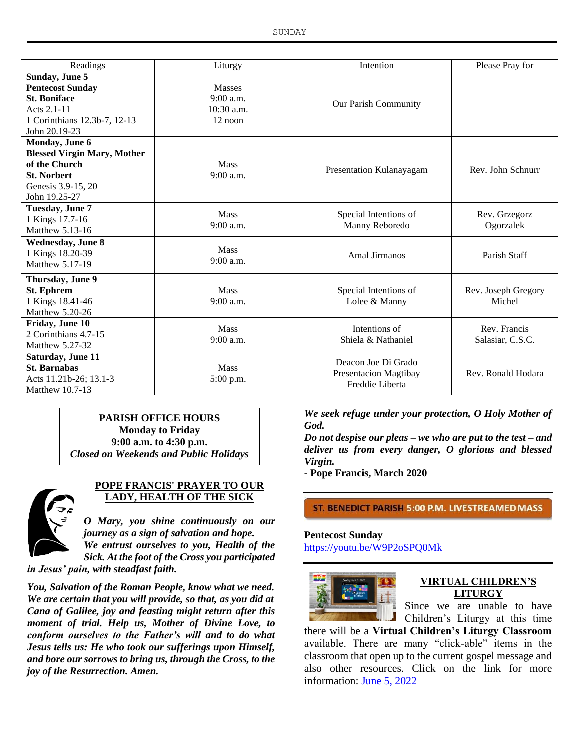SUNDAY

| Readings                           | Liturgy                    | Intention                    | Please Pray for     |
|------------------------------------|----------------------------|------------------------------|---------------------|
| Sunday, June 5                     |                            |                              |                     |
| <b>Pentecost Sunday</b>            | <b>Masses</b>              |                              |                     |
| <b>St. Boniface</b>                | 9:00 a.m.<br>$10:30$ a.m.  | Our Parish Community         |                     |
| Acts 2.1-11                        |                            |                              |                     |
| 1 Corinthians 12.3b-7, 12-13       | $12$ noon                  |                              |                     |
| John 20.19-23                      |                            |                              |                     |
| Monday, June 6                     |                            |                              |                     |
| <b>Blessed Virgin Mary, Mother</b> |                            |                              |                     |
| of the Church                      | <b>Mass</b><br>$9:00$ a.m. | Presentation Kulanayagam     | Rev. John Schnurr   |
| <b>St. Norbert</b>                 |                            |                              |                     |
| Genesis 3.9-15, 20                 |                            |                              |                     |
| John 19.25-27                      |                            |                              |                     |
| Tuesday, June 7                    | <b>Mass</b>                | Special Intentions of        | Rev. Grzegorz       |
| 1 Kings 17.7-16                    | $9:00$ a.m.                | Manny Reboredo               | Ogorzalek           |
| Matthew 5.13-16                    |                            |                              |                     |
| <b>Wednesday, June 8</b>           | <b>Mass</b>                |                              |                     |
| 1 Kings 18.20-39                   | 9:00 a.m.                  | Amal Jirmanos                | Parish Staff        |
| Matthew 5.17-19                    |                            |                              |                     |
| Thursday, June 9                   |                            |                              |                     |
| <b>St. Ephrem</b>                  | <b>Mass</b>                | Special Intentions of        | Rev. Joseph Gregory |
| 1 Kings 18.41-46                   | 9:00 a.m.                  | Lolee & Manny                | Michel              |
| Matthew 5.20-26                    |                            |                              |                     |
| Friday, June 10                    | <b>Mass</b>                | Intentions of                | Rev. Francis        |
| 2 Corinthians 4.7-15               | $9:00$ a.m.                | Shiela & Nathaniel           | Salasiar, C.S.C.    |
| Matthew 5.27-32                    |                            |                              |                     |
| Saturday, June 11                  |                            | Deacon Joe Di Grado          |                     |
| <b>St. Barnabas</b>                | <b>Mass</b>                | <b>Presentacion Magtibay</b> | Rev. Ronald Hodara  |
| Acts 11.21b-26; 13.1-3             | 5:00 p.m.                  | Freddie Liberta              |                     |
| Matthew 10.7-13                    |                            |                              |                     |

**PARISH OFFICE HOURS Monday to Friday 9:00 a.m. to 4:30 p.m.** *Closed on Weekends and Public Holidays*



# **POPE FRANCIS' PRAYER TO OUR LADY, HEALTH OF THE SICK**

*O Mary, you shine continuously on our journey as a sign of salvation and hope. We entrust ourselves to you, Health of the Sick. At the foot of the Cross you participated* 

*in Jesus' pain, with steadfast faith.*

*You, Salvation of the Roman People, know what we need. We are certain that you will provide, so that, as you did at Cana of Galilee, joy and feasting might return after this moment of trial. Help us, Mother of Divine Love, to conform ourselves to the Father's will and to do what Jesus tells us: He who took our sufferings upon Himself, and bore our sorrows to bring us, through the Cross, to the joy of the Resurrection. Amen.*

*We seek refuge under your protection, O Holy Mother of God.*

*Do not despise our pleas – we who are put to the test – and deliver us from every danger, O glorious and blessed Virgin.*

*-* **Pope Francis, March 2020**

ST. BENEDICT PARISH 5:00 P.M. LIVESTREAMED MASS

**Pentecost Sunday** https://youtu.be/W9P2oSPQ0Mk



#### **VIRTUAL CHILDREN'S LITURGY**

Since we are unable to have Children's Liturgy at this time

there will be a **Virtual Children's Liturgy Classroom** available. There are many "click-able" items in the classroom that open up to the current gospel message and also other resources. Click on the link for more information: June 5, 2022